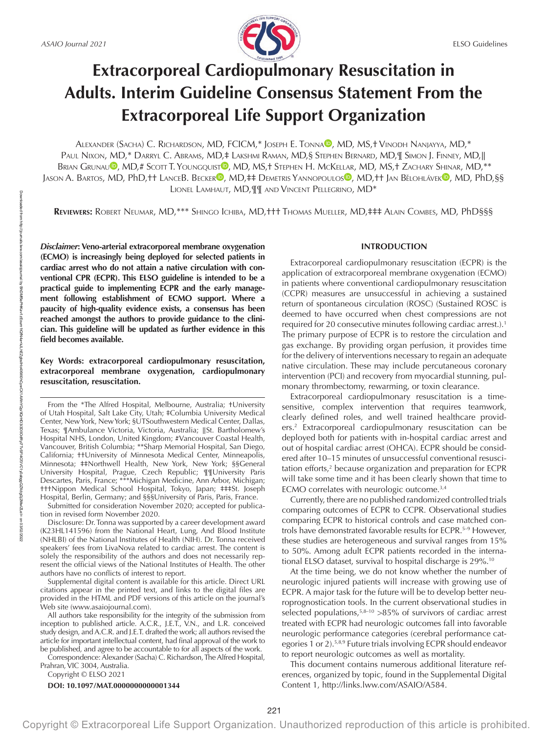

# **Extracorporeal Cardiopulmonary Resuscitation in Adults. Interim Guideline Consensus Statement From the Extracorporeal Life Support Organization**

ALEXANDER (SACHA) C. RICHARDSON[,](https://orcid.org/0000-0001-8879-2628) MD, FCICM,\* JOSEPH E. TONNA<sup>D</sup>, MD, MS,† VINODH NANJAYYA, MD,\* PAUL NIXON, MD,\* DARRYL C. ABRAMS, MD,‡ LAKSHMI RAMAN, MD,§ STEPHEN BERNARD, MD,¶ SIMON J. FINNEY, MD,∥ BRIAN GRUNAU<sup>®</sup>[,](https://orcid.org/0000-0003-4103-1383) MD[,](https://orcid.org/0000-0002-2343-9521)# Scott T. Youngquist<sup>®</sup>, MD, MS,† Stephen H. McKellar, MD, MS,† Zachary Shinar, MD,\*\* Jason A. Bartos[,](https://orcid.org/0000-0001-9455-9224) MD, PhD,†† LanceB. Becker®, MD,‡‡ Demetris Yannopoulos®, MD,†† Jan Bělohlávek®, MD, PhD,§§ LIONEL LAMHAUT, MD,¶¶ AND VINCENT PELLEGRINO, MD\*

**REVIEWERS:** ROBERT NEUMAR, MD,\*\*\* SHINGO ICHIBA, MD,††† THOMAS MUELLER, MD,‡‡‡ ALAIN COMBES, MD, PhD§§§

*Disclaimer***: Veno-arterial extracorporeal membrane oxygenation (ECMO) is increasingly being deployed for selected patients in cardiac arrest who do not attain a native circulation with conventional CPR (ECPR). This ELSO guideline is intended to be a practical guide to implementing ECPR and the early management following establishment of ECMO support. Where a paucity of high-quality evidence exists, a consensus has been reached amongst the authors to provide guidance to the clinician. This guideline will be updated as further evidence in this field becomes available.**

# **Key Words: extracorporeal cardiopulmonary resuscitation, extracorporeal membrane oxygenation, cardiopulmonary resuscitation, resuscitation.**

Submitted for consideration November 2020; accepted for publication in revised form November 2020.

Disclosure: Dr. Tonna was supported by a career development award (K23HL141596) from the National Heart, Lung, And Blood Institute (NHLBI) of the National Institutes of Health (NIH). Dr. Tonna received speakers' fees from LivaNova related to cardiac arrest. The content is solely the responsibility of the authors and does not necessarily represent the official views of the National Institutes of Health. The other authors have no conflicts of interest to report.

Supplemental digital content is available for this article. Direct URL citations appear in the printed text, and links to the digital files are provided in the HTML and PDF versions of this article on the journal's Web site (www.asaiojournal.com).

All authors take responsibility for the integrity of the submission from inception to published article. A.C.R., J.E.T., V.N., and L.R. conceived study design, and A.C.R. and J.E.T. drafted the work; all authors revised the article for important intellectual content, had final approval of the work to be published, and agree to be accountable to for all aspects of the work.

Correspondence: Alexander (Sacha) C. Richardson, The Alfred Hospital, Prahran, VIC 3004, Australia.

Copyright © ELSO 2021

**DOI: 10.1097/MAT.0000000000001344**

#### **INTRODUCTION**

Extracorporeal cardiopulmonary resuscitation (ECPR) is the application of extracorporeal membrane oxygenation (ECMO) in patients where conventional cardiopulmonary resuscitation (CCPR) measures are unsuccessful in achieving a sustained return of spontaneous circulation (ROSC) (Sustained ROSC is deemed to have occurred when chest compressions are not required for 20 consecutive minutes following cardiac arrest.).<sup>1</sup> The primary purpose of ECPR is to restore the circulation and gas exchange. By providing organ perfusion, it provides time for the delivery of interventions necessary to regain an adequate native circulation. These may include percutaneous coronary intervention (PCI) and recovery from myocardial stunning, pulmonary thrombectomy, rewarming, or toxin clearance.

Extracorporeal cardiopulmonary resuscitation is a timesensitive, complex intervention that requires teamwork, clearly defined roles, and well trained healthcare providers.2 Extracorporeal cardiopulmonary resuscitation can be deployed both for patients with in-hospital cardiac arrest and out of hospital cardiac arrest (OHCA). ECPR should be considered after 10–15 minutes of unsuccessful conventional resuscitation efforts,<sup>2</sup> because organization and preparation for ECPR will take some time and it has been clearly shown that time to ECMO correlates with neurologic outcome.3,4

Currently, there are no published randomized controlled trials comparing outcomes of ECPR to CCPR. Observational studies comparing ECPR to historical controls and case matched controls have demonstrated favorable results for ECPR.<sup>5-9</sup> However, these studies are heterogeneous and survival ranges from 15% to 50%. Among adult ECPR patients recorded in the international ELSO dataset, survival to hospital discharge is 29%.10

At the time being, we do not know whether the number of neurologic injured patients will increase with growing use of ECPR. A major task for the future will be to develop better neuroprognostication tools. In the current observational studies in selected populations, $5,8-10$  >85% of survivors of cardiac arrest treated with ECPR had neurologic outcomes fall into favorable neurologic performance categories (cerebral performance categories 1 or 2).<sup>5,8,9</sup> Future trials involving ECPR should endeavor to report neurologic outcomes as well as mortality.

This document contains numerous additional literature references, organized by topic, found in the Supplemental Digital Content 1, [http://links.lww.com/ASAIO/A584.](http://links.lww.com/ASAIO/A584)

From the \*The Alfred Hospital, Melbourne, Australia; †University of Utah Hospital, Salt Lake City, Utah; ‡Columbia University Medical Center, New York, New York; §UTSouthwestern Medical Center, Dallas, Texas; ¶Ambulance Victoria, Victoria, Australia; ∥St. Bartholomew's Hospital NHS, London, United Kingdom; #Vancouver Coastal Health, Vancouver, British Columbia; \*\*Sharp Memorial Hospital, San Diego, California; ††University of Minnesota Medical Center, Minneapolis, Minnesota; ‡‡Northwell Health, New York, New York; §§General University Hospital, Prague, Czech Republic; ¶¶University Paris Descartes, Paris, France; \*\*\*Michigan Medicine, Ann Arbor, Michigan; †††Nippon Medical School Hospital, Tokyo, Japan; ‡‡‡St. Joseph Hospital, Berlin, Germany; and §§§University of Paris, Paris, France.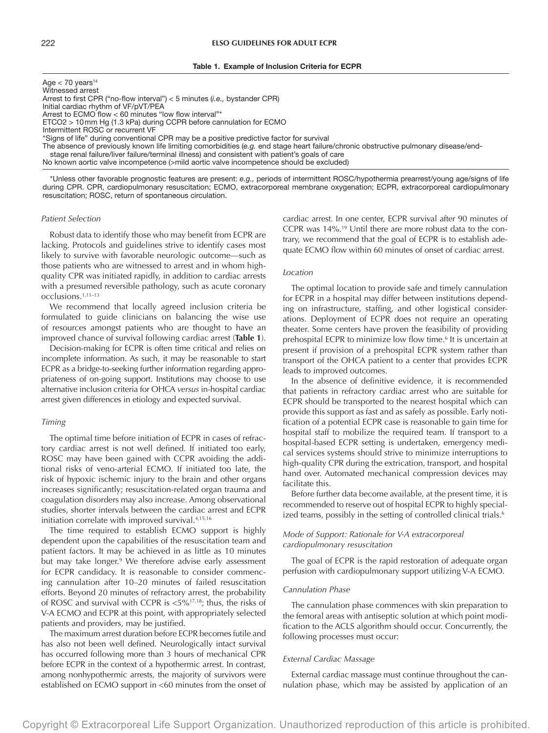#### Table 1. Example of Inclusion Criteria for ECPR

| Age $< 70$ years <sup>14</sup>                                                           |
|------------------------------------------------------------------------------------------|
| Witnessed arrest                                                                         |
| Arrest to first CPR ("no-flow interval") < 5 minutes ( <i>i.e.</i> , bystander CPR)      |
| Initial cardiac rhythm of VF/pVT/PEA                                                     |
| Arrest to ECMO flow < 60 minutes "low flow interval"*                                    |
| ETCO2 > 10 mm Hg (1.3 kPa) during CCPR before cannulation for ECMO                       |
| Intermittent ROSC or recurrent VF                                                        |
| "Signs of life" during conventional CPR may be a positive predictive factor for survival |
| The absence of previously known life limiting comorbidities (e.g. end stage heart failur |

rt failure/chronic obstructive pulmonary disease/endstage renal failure/liver failure/terminal illness) and consistent with patient's goals of care

No known aortic valve incompetence (>mild aortic valve incompetence should be excluded)

\*Unless other favorable prognostic features are present: *e.g.,* periods of intermittent ROSC/hypothermia prearrest/young age/signs of life during CPR. CPR, cardiopulmonary resuscitation; ECMO, extracorporeal membrane oxygenation; ECPR, extracorporeal cardiopulmonary resuscitation; ROSC, return of spontaneous circulation.

#### *Patient Selection*

Robust data to identify those who may benefit from ECPR are lacking. Protocols and guidelines strive to identify cases most likely to survive with favorable neurologic outcome—such as those patients who are witnessed to arrest and in whom highquality CPR was initiated rapidly, in addition to cardiac arrests with a presumed reversible pathology, such as acute coronary occlusions.1,11–13

We recommend that locally agreed inclusion criteria be formulated to guide clinicians on balancing the wise use of resources amongst patients who are thought to have an improved chance of survival following cardiac arrest (**Table 1**).

Decision-making for ECPR is often time critical and relies on incomplete information. As such, it may be reasonable to start ECPR as a bridge-to-seeking further information regarding appropriateness of on-going support. Institutions may choose to use alternative inclusion criteria for OHCA *versus* in-hospital cardiac arrest given differences in etiology and expected survival.

## *Timing*

The optimal time before initiation of ECPR in cases of refractory cardiac arrest is not well defined. If initiated too early, ROSC may have been gained with CCPR avoiding the additional risks of veno-arterial ECMO. If initiated too late, the risk of hypoxic ischemic injury to the brain and other organs increases significantly; resuscitation-related organ trauma and coagulation disorders may also increase. Among observational studies, shorter intervals between the cardiac arrest and ECPR initiation correlate with improved survival.<sup>4,15,16</sup>

The time required to establish ECMO support is highly dependent upon the capabilities of the resuscitation team and patient factors. It may be achieved in as little as 10 minutes but may take longer.<sup>9</sup> We therefore advise early assessment for ECPR candidacy. It is reasonable to consider commencing cannulation after 10–20 minutes of failed resuscitation efforts. Beyond 20 minutes of refractory arrest, the probability of ROSC and survival with CCPR is <5%17,18; thus, the risks of V-A ECMO and ECPR at this point, with appropriately selected patients and providers, may be justified.

The maximum arrest duration before ECPR becomes futile and has also not been well defined. Neurologically intact survival has occurred following more than 3 hours of mechanical CPR before ECPR in the context of a hypothermic arrest. In contrast, among nonhypothermic arrests, the majority of survivors were established on ECMO support in <60 minutes from the onset of cardiac arrest. In one center, ECPR survival after 90 minutes of CCPR was 14%.19 Until there are more robust data to the contrary, we recommend that the goal of ECPR is to establish adequate ECMO flow within 60 minutes of onset of cardiac arrest.

## *Location*

The optimal location to provide safe and timely cannulation for ECPR in a hospital may differ between institutions depending on infrastructure, staffing, and other logistical considerations. Deployment of ECPR does not require an operating theater. Some centers have proven the feasibility of providing prehospital ECPR to minimize low flow time.<sup>6</sup> It is uncertain at present if provision of a prehospital ECPR system rather than transport of the OHCA patient to a center that provides ECPR leads to improved outcomes.

In the absence of definitive evidence, it is recommended that patients in refractory cardiac arrest who are suitable for ECPR should be transported to the nearest hospital which can provide this support as fast and as safely as possible. Early notification of a potential ECPR case is reasonable to gain time for hospital staff to mobilize the required team. If transport to a hospital-based ECPR setting is undertaken, emergency medical services systems should strive to minimize interruptions to high-quality CPR during the extrication, transport, and hospital hand over. Automated mechanical compression devices may facilitate this.

Before further data become available, at the present time, it is recommended to reserve out of hospital ECPR to highly specialized teams, possibly in the setting of controlled clinical trials.<sup>6</sup>

# *Mode of Support: Rationale for V-A extracorporeal cardiopulmonary resuscitation*

The goal of ECPR is the rapid restoration of adequate organ perfusion with cardiopulmonary support utilizing V-A ECMO.

#### *Cannulation Phase*

The cannulation phase commences with skin preparation to the femoral areas with antiseptic solution at which point modification to the ACLS algorithm should occur. Concurrently, the following processes must occur:

## *External Cardiac Massage*

External cardiac massage must continue throughout the cannulation phase, which may be assisted by application of an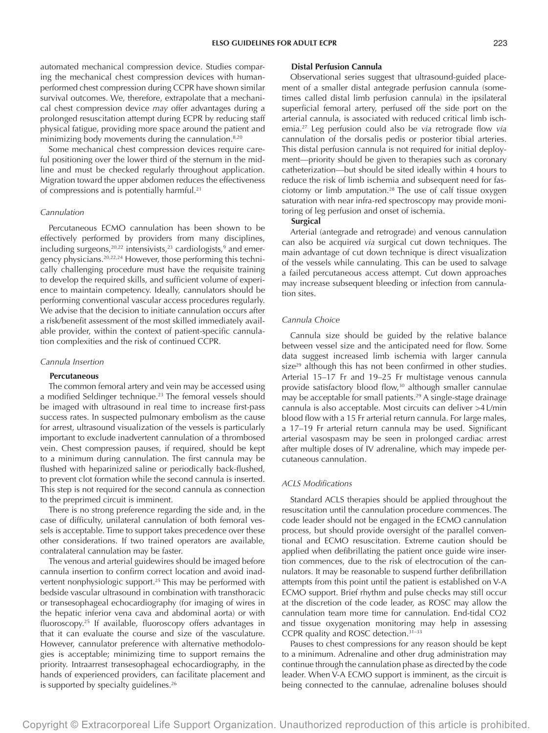automated mechanical compression device. Studies comparing the mechanical chest compression devices with humanperformed chest compression during CCPR have shown similar survival outcomes. We, therefore, extrapolate that a mechanical chest compression device *may* offer advantages during a prolonged resuscitation attempt during ECPR by reducing staff physical fatigue, providing more space around the patient and minimizing body movements during the cannulation.<sup>8,20</sup>

Some mechanical chest compression devices require careful positioning over the lower third of the sternum in the midline and must be checked regularly throughout application. Migration toward the upper abdomen reduces the effectiveness of compressions and is potentially harmful.<sup>21</sup>

#### *Cannulation*

Percutaneous ECMO cannulation has been shown to be effectively performed by providers from many disciplines, including surgeons,  $20,22$  intensivists,  $23$  cardiologists,  $9$  and emergency physicians.20,22,24 However, those performing this technically challenging procedure must have the requisite training to develop the required skills, and sufficient volume of experience to maintain competency. Ideally, cannulators should be performing conventional vascular access procedures regularly. We advise that the decision to initiate cannulation occurs after a risk/benefit assessment of the most skilled immediately available provider, within the context of patient-specific cannulation complexities and the risk of continued CCPR.

## *Cannula Insertion*

#### **Percutaneous**

The common femoral artery and vein may be accessed using a modified Seldinger technique.<sup>23</sup> The femoral vessels should be imaged with ultrasound in real time to increase first-pass success rates. In suspected pulmonary embolism as the cause for arrest, ultrasound visualization of the vessels is particularly important to exclude inadvertent cannulation of a thrombosed vein. Chest compression pauses, if required, should be kept to a minimum during cannulation. The first cannula may be flushed with heparinized saline or periodically back-flushed, to prevent clot formation while the second cannula is inserted. This step is not required for the second cannula as connection to the preprimed circuit is imminent.

There is no strong preference regarding the side and, in the case of difficulty, unilateral cannulation of both femoral vessels is acceptable. Time to support takes precedence over these other considerations. If two trained operators are available, contralateral cannulation may be faster.

The venous and arterial guidewires should be imaged before cannula insertion to confirm correct location and avoid inadvertent nonphysiologic support.<sup>25</sup> This may be performed with bedside vascular ultrasound in combination with transthoracic or transesophageal echocardiography (for imaging of wires in the hepatic inferior vena cava and abdominal aorta) or with fluoroscopy.25 If available, fluoroscopy offers advantages in that it can evaluate the course and size of the vasculature. However, cannulator preference with alternative methodologies is acceptable; minimizing time to support remains the priority. Intraarrest transesophageal echocardiography, in the hands of experienced providers, can facilitate placement and is supported by specialty guidelines.<sup>26</sup>

# **Distal Perfusion Cannula**

Observational series suggest that ultrasound-guided placement of a smaller distal antegrade perfusion cannula (sometimes called distal limb perfusion cannula) in the ipsilateral superficial femoral artery, perfused off the side port on the arterial cannula, is associated with reduced critical limb ischemia.27 Leg perfusion could also be *via* retrograde flow *via* cannulation of the dorsalis pedis or posterior tibial arteries. This distal perfusion cannula is not required for initial deployment—priority should be given to therapies such as coronary catheterization—but should be sited ideally within 4 hours to reduce the risk of limb ischemia and subsequent need for fasciotomy or limb amputation.28 The use of calf tissue oxygen saturation with near infra-red spectroscopy may provide monitoring of leg perfusion and onset of ischemia.

#### **Surgical**

Arterial (antegrade and retrograde) and venous cannulation can also be acquired *via* surgical cut down techniques. The main advantage of cut down technique is direct visualization of the vessels while cannulating. This can be used to salvage a failed percutaneous access attempt. Cut down approaches may increase subsequent bleeding or infection from cannulation sites.

#### *Cannula Choice*

Cannula size should be guided by the relative balance between vessel size and the anticipated need for flow. Some data suggest increased limb ischemia with larger cannula size<sup>29</sup> although this has not been confirmed in other studies. Arterial 15–17 Fr and 19–25 Fr multistage venous cannula provide satisfactory blood flow,<sup>30</sup> although smaller cannulae may be acceptable for small patients.<sup>29</sup> A single-stage drainage cannula is also acceptable. Most circuits can deliver >4L/min blood flow with a 15 Fr arterial return cannula. For large males, a 17–19 Fr arterial return cannula may be used. Significant arterial vasospasm may be seen in prolonged cardiac arrest after multiple doses of IV adrenaline, which may impede percutaneous cannulation.

# *ACLS Modifications*

Standard ACLS therapies should be applied throughout the resuscitation until the cannulation procedure commences. The code leader should not be engaged in the ECMO cannulation process, but should provide oversight of the parallel conventional and ECMO resuscitation. Extreme caution should be applied when defibrillating the patient once guide wire insertion commences, due to the risk of electrocution of the cannulators. It may be reasonable to suspend further defibrillation attempts from this point until the patient is established on V-A ECMO support. Brief rhythm and pulse checks may still occur at the discretion of the code leader, as ROSC may allow the cannulation team more time for cannulation. End-tidal CO2 and tissue oxygenation monitoring may help in assessing CCPR quality and ROSC detection.31–33

Pauses to chest compressions for any reason should be kept to a minimum. Adrenaline and other drug administration may continue through the cannulation phase as directed by the code leader. When V-A ECMO support is imminent, as the circuit is being connected to the cannulae, adrenaline boluses should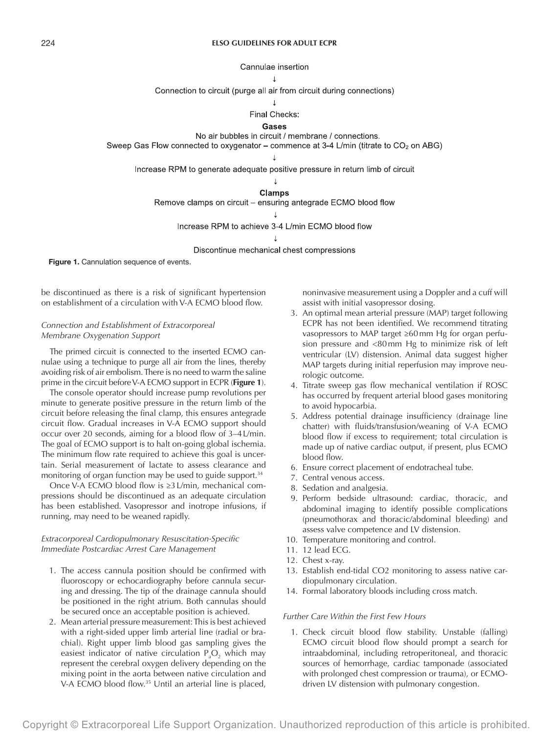#### 224 **ELSO GUIDELINES FOR ADULT ECPR**

Cannulae insertion

Connection to circuit (purge all air from circuit during connections)

Final Checks:

#### Gases

No air bubbles in circuit / membrane / connections.

Sweep Gas Flow connected to oxygenator - commence at 3-4 L/min (titrate to CO<sub>2</sub> on ABG)

Increase RPM to generate adequate positive pressure in return limb of circuit

**Clamps** 

Remove clamps on circuit - ensuring antegrade ECMO blood flow

Increase RPM to achieve 3-4 L/min ECMO blood flow

 $\mathbf{I}$ 

Discontinue mechanical chest compressions

Figure 1. Cannulation sequence of events.

be discontinued as there is a risk of significant hypertension on establishment of a circulation with V-A ECMO blood flow.

# *Connection and Establishment of Extracorporeal Membrane Oxygenation Support*

The primed circuit is connected to the inserted ECMO cannulae using a technique to purge all air from the lines, thereby avoiding risk of air embolism. There is no need to warm the saline prime in the circuit before V-A ECMO support in ECPR (**Figure 1**).

The console operator should increase pump revolutions per minute to generate positive pressure in the return limb of the circuit before releasing the final clamp, this ensures antegrade circuit flow. Gradual increases in V-A ECMO support should occur over 20 seconds, aiming for a blood flow of 3–4L/min. The goal of ECMO support is to halt on-going global ischemia. The minimum flow rate required to achieve this goal is uncertain. Serial measurement of lactate to assess clearance and monitoring of organ function may be used to guide support.<sup>34</sup>

Once V-A ECMO blood flow is ≥3L/min, mechanical compressions should be discontinued as an adequate circulation has been established. Vasopressor and inotrope infusions, if running, may need to be weaned rapidly.

## *Extracorporeal Cardiopulmonary Resuscitation-Specific Immediate Postcardiac Arrest Care Management*

- 1. The access cannula position should be confirmed with fluoroscopy or echocardiography before cannula securing and dressing. The tip of the drainage cannula should be positioned in the right atrium. Both cannulas should be secured once an acceptable position is achieved.
- 2. Mean arterial pressure measurement: This is best achieved with a right-sided upper limb arterial line (radial or brachial). Right upper limb blood gas sampling gives the easiest indicator of native circulation  $P_aO_2$  which may represent the cerebral oxygen delivery depending on the mixing point in the aorta between native circulation and V-A ECMO blood flow.35 Until an arterial line is placed,

noninvasive measurement using a Doppler and a cuff will assist with initial vasopressor dosing.

- 3. An optimal mean arterial pressure (MAP) target following ECPR has not been identified. We recommend titrating vasopressors to MAP target ≥60mm Hg for organ perfusion pressure and <80mm Hg to minimize risk of left ventricular (LV) distension. Animal data suggest higher MAP targets during initial reperfusion may improve neurologic outcome.
- 4. Titrate sweep gas flow mechanical ventilation if ROSC has occurred by frequent arterial blood gases monitoring to avoid hypocarbia.
- 5. Address potential drainage insufficiency (drainage line chatter) with fluids/transfusion/weaning of V-A ECMO blood flow if excess to requirement; total circulation is made up of native cardiac output, if present, plus ECMO blood flow.
- 6. Ensure correct placement of endotracheal tube.
- 7. Central venous access.
- 8. Sedation and analgesia.
- 9. Perform bedside ultrasound: cardiac, thoracic, and abdominal imaging to identify possible complications (pneumothorax and thoracic/abdominal bleeding) and assess valve competence and LV distension.
- 10. Temperature monitoring and control.
- 11. 12 lead ECG.
- 12. Chest x-ray.
- 13. Establish end-tidal CO2 monitoring to assess native cardiopulmonary circulation.
- 14. Formal laboratory bloods including cross match.

# *Further Care Within the First Few Hours*

1. Check circuit blood flow stability. Unstable (falling) ECMO circuit blood flow should prompt a search for intraabdominal, including retroperitoneal, and thoracic sources of hemorrhage, cardiac tamponade (associated with prolonged chest compression or trauma), or ECMOdriven LV distension with pulmonary congestion.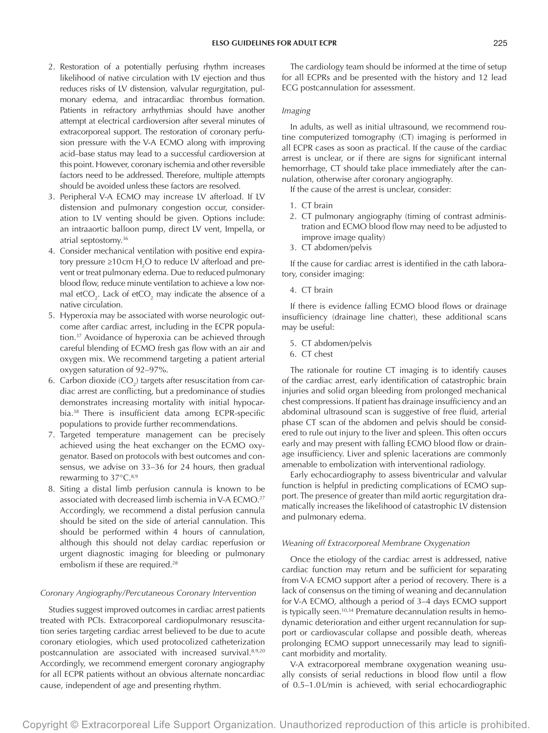- 2. Restoration of a potentially perfusing rhythm increases likelihood of native circulation with LV ejection and thus reduces risks of LV distension, valvular regurgitation, pulmonary edema, and intracardiac thrombus formation. Patients in refractory arrhythmias should have another attempt at electrical cardioversion after several minutes of extracorporeal support. The restoration of coronary perfusion pressure with the V-A ECMO along with improving acid–base status may lead to a successful cardioversion at this point. However, coronary ischemia and other reversible factors need to be addressed. Therefore, multiple attempts should be avoided unless these factors are resolved.
- 3. Peripheral V-A ECMO may increase LV afterload. If LV distension and pulmonary congestion occur, consideration to LV venting should be given. Options include: an intraaortic balloon pump, direct LV vent, Impella, or atrial septostomy.<sup>36</sup>
- 4. Consider mechanical ventilation with positive end expiratory pressure ≥10 ${\rm cm}\, {\rm H_2O}$  to reduce LV afterload and prevent or treat pulmonary edema. Due to reduced pulmonary blood flow, reduce minute ventilation to achieve a low normal etCO<sub>2</sub>. Lack of etCO<sub>2</sub> may indicate the absence of a native circulation.
- 5. Hyperoxia may be associated with worse neurologic outcome after cardiac arrest, including in the ECPR population.37 Avoidance of hyperoxia can be achieved through careful blending of ECMO fresh gas flow with an air and oxygen mix. We recommend targeting a patient arterial oxygen saturation of 92–97%.
- 6. Carbon dioxide  $(CO_2)$  targets after resuscitation from cardiac arrest are conflicting, but a predominance of studies demonstrates increasing mortality with initial hypocarbia.38 There is insufficient data among ECPR-specific populations to provide further recommendations.
- 7. Targeted temperature management can be precisely achieved using the heat exchanger on the ECMO oxygenator. Based on protocols with best outcomes and consensus, we advise on 33–36 for 24 hours, then gradual rewarming to  $37^{\circ}$ C.<sup>8,9</sup>
- 8. Siting a distal limb perfusion cannula is known to be associated with decreased limb ischemia in V-A ECMO.27 Accordingly, we recommend a distal perfusion cannula should be sited on the side of arterial cannulation. This should be performed within 4 hours of cannulation, although this should not delay cardiac reperfusion or urgent diagnostic imaging for bleeding or pulmonary embolism if these are required.<sup>28</sup>

## *Coronary Angiography/Percutaneous Coronary Intervention*

Studies suggest improved outcomes in cardiac arrest patients treated with PCIs. Extracorporeal cardiopulmonary resuscitation series targeting cardiac arrest believed to be due to acute coronary etiologies, which used protocolized catheterization postcannulation are associated with increased survival.<sup>8,9,20</sup> Accordingly, we recommend emergent coronary angiography for all ECPR patients without an obvious alternate noncardiac cause, independent of age and presenting rhythm.

The cardiology team should be informed at the time of setup for all ECPRs and be presented with the history and 12 lead ECG postcannulation for assessment.

## *Imaging*

In adults, as well as initial ultrasound, we recommend routine computerized tomography (CT) imaging is performed in all ECPR cases as soon as practical. If the cause of the cardiac arrest is unclear, or if there are signs for significant internal hemorrhage, CT should take place immediately after the cannulation, otherwise after coronary angiography.

If the cause of the arrest is unclear, consider:

- 1. CT brain
- 2. CT pulmonary angiography (timing of contrast administration and ECMO blood flow may need to be adjusted to improve image quality)
- 3. CT abdomen/pelvis

If the cause for cardiac arrest is identified in the cath laboratory, consider imaging:

4. CT brain

If there is evidence falling ECMO blood flows or drainage insufficiency (drainage line chatter), these additional scans may be useful:

- 5. CT abdomen/pelvis
- 6. CT chest

The rationale for routine CT imaging is to identify causes of the cardiac arrest, early identification of catastrophic brain injuries and solid organ bleeding from prolonged mechanical chest compressions. If patient has drainage insufficiency and an abdominal ultrasound scan is suggestive of free fluid, arterial phase CT scan of the abdomen and pelvis should be considered to rule out injury to the liver and spleen. This often occurs early and may present with falling ECMO blood flow or drainage insufficiency. Liver and splenic lacerations are commonly amenable to embolization with interventional radiology.

Early echocardiography to assess biventricular and valvular function is helpful in predicting complications of ECMO support. The presence of greater than mild aortic regurgitation dramatically increases the likelihood of catastrophic LV distension and pulmonary edema.

## *Weaning off Extracorporeal Membrane Oxygenation*

Once the etiology of the cardiac arrest is addressed, native cardiac function may return and be sufficient for separating from V-A ECMO support after a period of recovery. There is a lack of consensus on the timing of weaning and decannulation for V-A ECMO, although a period of 3–4 days ECMO support is typically seen.<sup>10,34</sup> Premature decannulation results in hemodynamic deterioration and either urgent recannulation for support or cardiovascular collapse and possible death, whereas prolonging ECMO support unnecessarily may lead to significant morbidity and mortality.

V-A extracorporeal membrane oxygenation weaning usually consists of serial reductions in blood flow until a flow of 0.5–1.0L/min is achieved, with serial echocardiographic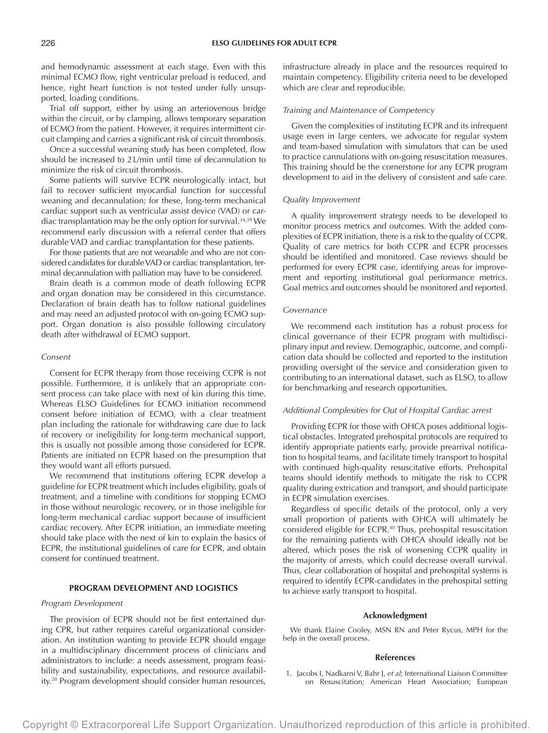and hemodynamic assessment at each stage. Even with this minimal ECMO flow, right ventricular preload is reduced, and hence, right heart function is not tested under fully unsupported, loading conditions.

Trial off support, either by using an arteriovenous bridge within the circuit, or by clamping, allows temporary separation of ECMO from the patient. However, it requires intermittent circuit clamping and carries a significant risk of circuit thrombosis.

Once a successful weaning study has been completed, flow should be increased to 2L/min until time of decannulation to minimize the risk of circuit thrombosis.

Some patients will survive ECPR neurologically intact, but fail to recover sufficient myocardial function for successful weaning and decannulation; for these, long-term mechanical cardiac support such as ventricular assist device (VAD) or cardiac transplantation may be the only option for survival.34,39 We recommend early discussion with a referral center that offers durable VAD and cardiac transplantation for these patients.

For those patients that are not weanable and who are not considered candidates for durable VAD or cardiac transplantation, terminal decannulation with palliation may have to be considered.

Brain death is a common mode of death following ECPR and organ donation may be considered in this circumstance. Declaration of brain death has to follow national guidelines and may need an adjusted protocol with on-going ECMO support. Organ donation is also possible following circulatory death after withdrawal of ECMO support.

## *Consent*

Consent for ECPR therapy from those receiving CCPR is not possible. Furthermore, it is unlikely that an appropriate consent process can take place with next of kin during this time. Whereas ELSO Guidelines for ECMO initiation recommend consent before initiation of ECMO, with a clear treatment plan including the rationale for withdrawing care due to lack of recovery or ineligibility for long-term mechanical support, this is usually not possible among those considered for ECPR. Patients are initiated on ECPR based on the presumption that they would want all efforts pursued.

We recommend that institutions offering ECPR develop a guideline for ECPR treatment which includes eligibility, goals of treatment, and a timeline with conditions for stopping ECMO in those without neurologic recovery, or in those ineligible for long-term mechanical cardiac support because of insufficient cardiac recovery. After ECPR initiation, an immediate meeting should take place with the next of kin to explain the basics of ECPR, the institutional guidelines of care for ECPR, and obtain consent for continued treatment.

## **PROGRAM DEVELOPMENT AND LOGISTICS**

## *Program Development*

The provision of ECPR should not be first entertained during CPR, but rather requires careful organizational consideration. An institution wanting to provide ECPR should engage in a multidisciplinary discernment process of clinicians and administrators to include: a needs assessment, program feasibility and sustainability, expectations, and resource availability.20 Program development should consider human resources,

infrastructure already in place and the resources required to maintain competency. Eligibility criteria need to be developed which are clear and reproducible.

## *Training and Maintenance of Competency*

Given the complexities of instituting ECPR and its infrequent usage even in large centers, we advocate for regular system and team-based simulation with simulators that can be used to practice cannulations with on-going resuscitation measures. This training should be the cornerstone for any ECPR program development to aid in the delivery of consistent and safe care.

#### *Quality Improvement*

A quality improvement strategy needs to be developed to monitor process metrics and outcomes. With the added complexities of ECPR initiation, there is a risk to the quality of CCPR. Quality of care metrics for both CCPR and ECPR processes should be identified and monitored. Case reviews should be performed for every ECPR case, identifying areas for improvement and reporting institutional goal performance metrics. Goal metrics and outcomes should be monitored and reported.

## *Governance*

We recommend each institution has a robust process for clinical governance of their ECPR program with multidisciplinary input and review. Demographic, outcome, and complication data should be collected and reported to the institution providing oversight of the service and consideration given to contributing to an international dataset, such as ELSO, to allow for benchmarking and research opportunities.

#### *Additional Complexities for Out of Hospital Cardiac arrest*

Providing ECPR for those with OHCA poses additional logistical obstacles. Integrated prehospital protocols are required to identify appropriate patients early, provide prearrival notification to hospital teams, and facilitate timely transport to hospital with continued high-quality resuscitative efforts. Prehospital teams should identify methods to mitigate the risk to CCPR quality during extrication and transport, and should participate in ECPR simulation exercises.

Regardless of specific details of the protocol, only a very small proportion of patients with OHCA will ultimately be considered eligible for ECPR.<sup>40</sup> Thus, prehospital resuscitation for the remaining patients with OHCA should ideally not be altered, which poses the risk of worsening CCPR quality in the majority of arrests, which could decrease overall survival. Thus, clear collaboration of hospital and prehospital systems is required to identify ECPR-candidates in the prehospital setting to achieve early transport to hospital.

## **Acknowledgment**

We thank Elaine Cooley, MSN RN and Peter Rycus, MPH for the help in the overall process.

## **References**

1. Jacobs I, Nadkarni V, Bahr J, *et al*; International Liaison Committee on Resuscitation; American Heart Association; European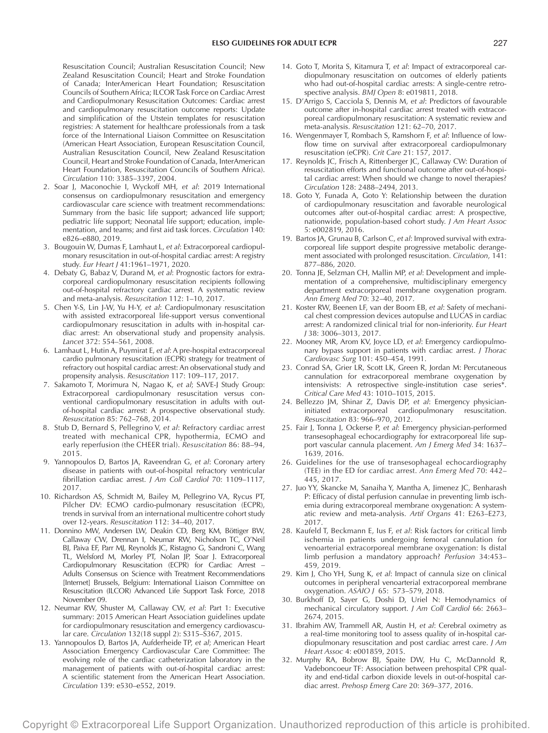Resuscitation Council; Australian Resuscitation Council; New Zealand Resuscitation Council; Heart and Stroke Foundation of Canada; InterAmerican Heart Foundation; Resuscitation Councils of Southern Africa; ILCOR Task Force on Cardiac Arrest and Cardiopulmonary Resuscitation Outcomes: Cardiac arrest and cardiopulmonary resuscitation outcome reports: Update and simplification of the Utstein templates for resuscitation registries: A statement for healthcare professionals from a task force of the International Liaison Committee on Resuscitation (American Heart Association, European Resuscitation Council, Australian Resuscitation Council, New Zealand Resuscitation Council, Heart and Stroke Foundation of Canada, InterAmerican Heart Foundation, Resuscitation Councils of Southern Africa). *Circulation* 110: 3385–3397, 2004.

- 2. Soar J, Maconochie I, Wyckoff MH, *et al*: 2019 International consensus on cardiopulmonary resuscitation and emergency cardiovascular care science with treatment recommendations: Summary from the basic life support; advanced life support; pediatric life support; Neonatal life support; education, implementation, and teams; and first aid task forces. *Circulation* 140: e826–e880, 2019.
- 3. Bougouin W, Dumas F, Lamhaut L, *et al*: Extracorporeal cardiopulmonary resuscitation in out-of-hospital cardiac arrest: A registry study. *Eur Heart J* 41:1961–1971, 2020.
- 4. Debaty G, Babaz V, Durand M, *et al*: Prognostic factors for extracorporeal cardiopulmonary resuscitation recipients following out-of-hospital refractory cardiac arrest. A systematic review and meta-analysis. *Resuscitation* 112: 1–10, 2017.
- 5. Chen Y-S, Lin J-W, Yu H-Y, *et al*: Cardiopulmonary resuscitation with assisted extracorporeal life-support versus conventional cardiopulmonary resuscitation in adults with in-hospital cardiac arrest: An observational study and propensity analysis. *Lancet* 372: 554–561, 2008.
- 6. Lamhaut L, Hutin A, Puymirat E, *et al*: A pre-hospital extracorporeal cardio pulmonary resuscitation (ECPR) strategy for treatment of refractory out hospital cardiac arrest: An observational study and propensity analysis. *Resuscitation* 117: 109–117, 2017.
- 7. Sakamoto T, Morimura N, Nagao K, *et al*; SAVE-J Study Group: Extracorporeal cardiopulmonary resuscitation versus conventional cardiopulmonary resuscitation in adults with outof-hospital cardiac arrest: A prospective observational study. *Resuscitation* 85: 762–768, 2014.
- 8. Stub D, Bernard S, Pellegrino V, *et al*: Refractory cardiac arrest treated with mechanical CPR, hypothermia, ECMO and early reperfusion (the CHEER trial). *Resuscitation* 86: 88–94, 2015.
- 9. Yannopoulos D, Bartos JA, Raveendran G, *et al*: Coronary artery disease in patients with out-of-hospital refractory ventricular fibrillation cardiac arrest. *J Am Coll Cardiol* 70: 1109–1117, 2017.
- 10. Richardson AS, Schmidt M, Bailey M, Pellegrino VA, Rycus PT, Pilcher DV: ECMO cardio-pulmonary resuscitation (ECPR), trends in survival from an international multicentre cohort study over 12-years. *Resuscitation* 112: 34–40, 2017.
- 11. Donnino MW, Andersen LW, Deakin CD, Berg KM, Böttiger BW, Callaway CW, Drennan I, Neumar RW, Nicholson TC, O'Neil BJ, Paiva EF, Parr MJ, Reynolds JC, Ristagno G, Sandroni C, Wang TL, Welsford M, Morley PT, Nolan JP, Soar J. Extracorporeal Cardiopulmonary Resuscitation (ECPR) for Cardiac Arrest – Adults Consensus on Science with Treatment Recommendations [Internet] Brussels, Belgium: International Liaison Committee on Resuscitation (ILCOR) Advanced Life Support Task Force, 2018 November 09.
- 12. Neumar RW, Shuster M, Callaway CW, *et al*: Part 1: Executive summary: 2015 American Heart Association guidelines update for cardiopulmonary resuscitation and emergency cardiovascular care. *Circulation* 132(18 suppl 2): S315–S367, 2015.
- 13. Yannopoulos D, Bartos JA, Aufderheide TP, *et al*; American Heart Association Emergency Cardiovascular Care Committee: The evolving role of the cardiac catheterization laboratory in the management of patients with out-of-hospital cardiac arrest: A scientific statement from the American Heart Association. *Circulation* 139: e530–e552, 2019.
- 14. Goto T, Morita S, Kitamura T, *et al*: Impact of extracorporeal cardiopulmonary resuscitation on outcomes of elderly patients who had out-of-hospital cardiac arrests: A single-centre retrospective analysis. *BMJ Open* 8: e019811, 2018.
- 15. D'Arrigo S, Cacciola S, Dennis M, *et al*: Predictors of favourable outcome after in-hospital cardiac arrest treated with extracorporeal cardiopulmonary resuscitation: A systematic review and meta-analysis. *Resuscitation* 121: 62–70, 2017.
- 16. Wengenmayer T, Rombach S, Ramshorn F, *et al*: Influence of lowflow time on survival after extracorporeal cardiopulmonary resuscitation (eCPR). *Crit Care* 21: 157, 2017.
- 17. Reynolds JC, Frisch A, Rittenberger JC, Callaway CW: Duration of resuscitation efforts and functional outcome after out-of-hospital cardiac arrest: When should we change to novel therapies? *Circulation* 128: 2488–2494, 2013.
- 18. Goto Y, Funada A, Goto Y: Relationship between the duration of cardiopulmonary resuscitation and favorable neurological outcomes after out-of-hospital cardiac arrest: A prospective, nationwide, population-based cohort study. *J Am Heart Assoc* 5: e002819, 2016.
- 19. Bartos JA, Grunau B, Carlson C, *et al*: Improved survival with extracorporeal life support despite progressive metabolic derangement associated with prolonged resuscitation. *Circulation*, 141: 877–886, 2020.
- 20. Tonna JE, Selzman CH, Mallin MP, *et al*: Development and implementation of a comprehensive, multidisciplinary emergency department extracorporeal membrane oxygenation program. *Ann Emerg Med* 70: 32–40, 2017.
- 21. Koster RW, Beenen LF, van der Boom EB, *et al*: Safety of mechanical chest compression devices autopulse and LUCAS in cardiac arrest: A randomized clinical trial for non-inferiority. *Eur Heart J* 38: 3006–3013, 2017.
- 22. Mooney MR, Arom KV, Joyce LD, *et al*: Emergency cardiopulmonary bypass support in patients with cardiac arrest. *J Thorac Cardiovasc Surg* 101: 450–454, 1991.
- 23. Conrad SA, Grier LR, Scott LK, Green R, Jordan M: Percutaneous cannulation for extracorporeal membrane oxygenation by intensivists: A retrospective single-institution case series\*. *Critical Care Med* 43: 1010–1015, 2015.
- 24. Bellezzo JM, Shinar Z, Davis DP, *et al*: Emergency physicianinitiated extracorporeal cardiopulmonary resuscitation. *Resuscitation* 83: 966–970, 2012.
- 25. Fair J, Tonna J, Ockerse P, *et al*: Emergency physician-performed transesophageal echocardiography for extracorporeal life support vascular cannula placement. *Am J Emerg Med* 34: 1637– 1639, 2016.
- 26. Guidelines for the use of transesophageal echocardiography (TEE) in the ED for cardiac arrest. *Ann Emerg Med* 70: 442– 445, 2017.
- 27. Juo YY, Skancke M, Sanaiha Y, Mantha A, Jimenez JC, Benharash P: Efficacy of distal perfusion cannulae in preventing limb ischemia during extracorporeal membrane oxygenation: A systematic review and meta-analysis. *Artif Organs* 41: E263–E273, 2017.
- 28. Kaufeld T, Beckmann E, Ius F, *et al*: Risk factors for critical limb ischemia in patients undergoing femoral cannulation for venoarterial extracorporeal membrane oxygenation: Is distal limb perfusion a mandatory approach? *Perfusion* 34:453– 459, 2019.
- 29. Kim J, Cho YH, Sung K, *et al*: Impact of cannula size on clinical outcomes in peripheral venoarterial extracorporeal membrane oxygenation. *ASAIO J* 65: 573–579, 2018.
- 30. Burkhoff D, Sayer G, Doshi D, Uriel N: Hemodynamics of mechanical circulatory support. *J Am Coll Cardiol* 66: 2663– 2674, 2015.
- 31. Ibrahim AW, Trammell AR, Austin H, *et al*: Cerebral oximetry as a real-time monitoring tool to assess quality of in-hospital cardiopulmonary resuscitation and post cardiac arrest care. *J Am Heart Assoc* 4: e001859, 2015.
- 32. Murphy RA, Bobrow BJ, Spaite DW, Hu C, McDannold R, Vadeboncoeur TF: Association between prehospital CPR quality and end-tidal carbon dioxide levels in out-of-hospital cardiac arrest. *Prehosp Emerg Care* 20: 369–377, 2016.